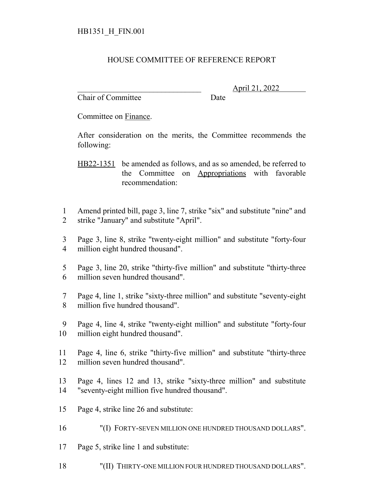## HOUSE COMMITTEE OF REFERENCE REPORT

Chair of Committee Date

\_\_\_\_\_\_\_\_\_\_\_\_\_\_\_\_\_\_\_\_\_\_\_\_\_\_\_\_\_\_\_ April 21, 2022

Committee on Finance.

After consideration on the merits, the Committee recommends the following:

HB22-1351 be amended as follows, and as so amended, be referred to the Committee on Appropriations with favorable recommendation:

- Amend printed bill, page 3, line 7, strike "six" and substitute "nine" and strike "January" and substitute "April".
- Page 3, line 8, strike "twenty-eight million" and substitute "forty-four million eight hundred thousand".
- Page 3, line 20, strike "thirty-five million" and substitute "thirty-three million seven hundred thousand".
- Page 4, line 1, strike "sixty-three million" and substitute "seventy-eight million five hundred thousand".
- Page 4, line 4, strike "twenty-eight million" and substitute "forty-four million eight hundred thousand".
- Page 4, line 6, strike "thirty-five million" and substitute "thirty-three million seven hundred thousand".
- Page 4, lines 12 and 13, strike "sixty-three million" and substitute "seventy-eight million five hundred thousand".
- Page 4, strike line 26 and substitute:
- "(I) FORTY-SEVEN MILLION ONE HUNDRED THOUSAND DOLLARS".
- Page 5, strike line 1 and substitute:
- "(II) THIRTY-ONE MILLION FOUR HUNDRED THOUSAND DOLLARS".